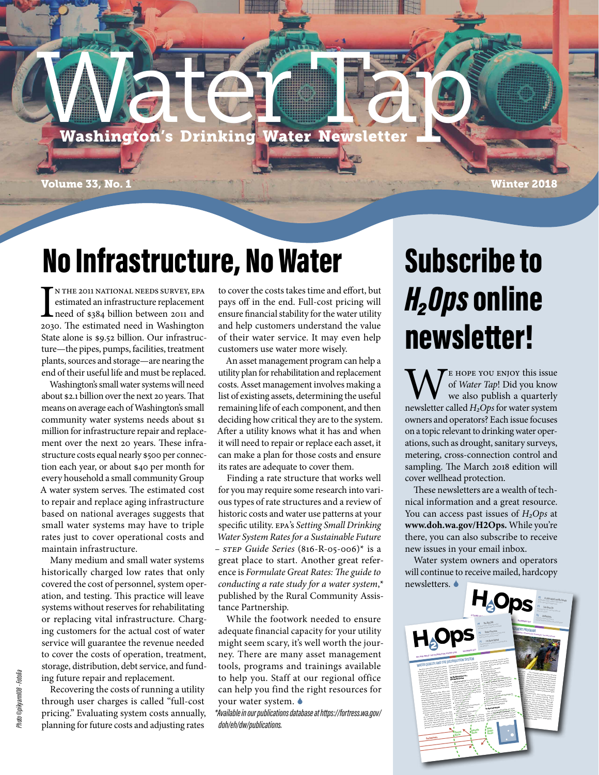# **Washington's Drinking Water Newsletter**

Volume 33, No. 1 Winter 2018

#### No Infrastructure, No Water

IN THE 2011 NATIONAL NEEDS SURVEY, EPA<br>estimated an infrastructure replacement<br>need of \$384 billion between 2011 and<br>2030. The estimated need in Washington n the 2011 national needs survey, EPA estimated an infrastructure replacement need of \$384 billion between 2011 and State alone is \$9.52 billion. Our infrastructure—the pipes, pumps, facilities, treatment plants, sources and storage—are nearing the end of their useful life and must be replaced.

Washington's small water systems will need about \$2.1 billion over the next 20 years. That means on average each of Washington's small community water systems needs about \$1 million for infrastructure repair and replacement over the next 20 years. These infrastructure costs equal nearly \$500 per connection each year, or about \$40 per month for every household a small community Group A water system serves. The estimated cost to repair and replace aging infrastructure based on national averages suggests that small water systems may have to triple rates just to cover operational costs and maintain infrastructure.

Many medium and small water systems historically charged low rates that only covered the cost of personnel, system operation, and testing. This practice will leave systems without reserves for rehabilitating or replacing vital infrastructure. Charging customers for the actual cost of water service will guarantee the revenue needed to cover the costs of operation, treatment, storage, distribution, debt service, and funding future repair and replacement.

Recovering the costs of running a utility through user charges is called "full-cost pricing." Evaluating system costs annually, planning for future costs and adjusting rates

to cover the costs takes time and effort, but pays off in the end. Full-cost pricing will ensure financial stability for the water utility and help customers understand the value of their water service. It may even help customers use water more wisely.

An asset management program can help a utility plan for rehabilitation and replacement costs. Asset management involves making a list of existing assets, determining the useful remaining life of each component, and then deciding how critical they are to the system. After a utility knows what it has and when it will need to repair or replace each asset, it can make a plan for those costs and ensure its rates are adequate to cover them.

Finding a rate structure that works well for you may require some research into various types of rate structures and a review of historic costs and water use patterns at your specific utility. EPA's *Setting Small Drinking Water System Rates for a Sustainable Future – STEP Guide Series* (816-R-05-006)\* is a great place to start. Another great reference is *Formulate Great Rates: The guide to conducting a rate study for a water system*,\* published by the Rural Community Assistance Partnership.

While the footwork needed to ensure adequate financial capacity for your utility might seem scary, it's well worth the journey. There are many asset management tools, programs and trainings available to help you. Staff at our regional office can help you find the right resources for your water system.

*\*Available in our publications database at https://fortress.wa.gov/ doh/eh/dw/publications.*

## Subscribe to *H₂Ops* online newsletter!

WE HOPE YOU ENJOY this issue<br>we also publish a quarterly<br>newsletter called *H*<sub>2</sub>Ops for water system of *Water Tap*! Did you know we also publish a quarterly owners and operators? Each issue focuses on a topic relevant to drinking water operations, such as drought, sanitary surveys, metering, cross-connection control and sampling. The March 2018 edition will cover wellhead protection.

These newsletters are a wealth of technical information and a great resource. You can access past issues of *H₂Ops* at **www.doh.wa.gov/H2Ops.** While you're there, you can also subscribe to receive new issues in your email inbox.

Water system owners and operators will continue to receive mailed, hardcopy newsletters.

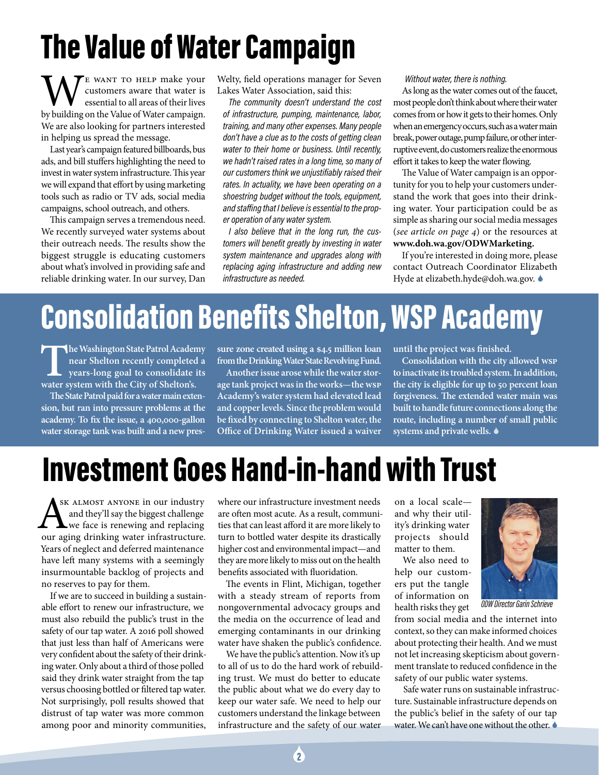# The Value of Water Campaign

WE WANT TO HELP make your<br>essential to all areas of their lives<br>by building on the Value of Water campaign. customers aware that water is essential to all areas of their lives by building on the Value of Water campaign. We are also looking for partners interested in helping us spread the message.

Last year's campaign featured billboards, bus ads, and bill stuffers highlighting the need to invest in water system infrastructure. This year we will expand that effort by using marketing tools such as radio or TV ads, social media campaigns, school outreach, and others.

This campaign serves a tremendous need. We recently surveyed water systems about their outreach needs. The results show the biggest struggle is educating customers about what's involved in providing safe and reliable drinking water. In our survey, Dan

Welty, field operations manager for Seven Lakes Water Association, said this:

*The community doesn't understand the cost of infrastructure, pumping, maintenance, labor, training, and many other expenses. Many people don't have a clue as to the costs of getting clean water to their home or business. Until recently, we hadn't raised rates in a long time, so many of our customers think we unjustifiably raised their rates. In actuality, we have been operating on a shoestring budget without the tools, equipment, and staffing that I believe is essential to the proper operation of any water system.* 

*I also believe that in the long run, the customers will benefit greatly by investing in water system maintenance and upgrades along with replacing aging infrastructure and adding new infrastructure as needed.* 

*Without water, there is nothing.*

As long as the water comes out of the faucet, most people don't think about where their water comes from or how it gets to their homes. Only when an emergency occurs, such as a water main break, power outage, pump failure, or other interruptive event, do customers realize the enormous effort it takes to keep the water flowing.

The Value of Water campaign is an opportunity for you to help your customers understand the work that goes into their drinking water. Your participation could be as simple as sharing our social media messages (*see article on page 4*) or the resources at **www.doh.wa.gov/ODWMarketing.**

If you're interested in doing more, please contact Outreach Coordinator Elizabeth Hyde at elizabeth.hyde@doh.wa.gov. ♦

# Consolidation Benefits Shelton, WSP Academy

**The Washington State Patrol Academy**<br>near Shelton recently completed a<br>years-long goal to consolidate its<br>water system with the City of Shelton's. **near Shelton recently completed a years-long goal to consolidate its water system with the City of Shelton's.**

**The State Patrol paid for a water main extension, but ran into pressure problems at the academy. To fix the issue, a 400,000-gallon water storage tank was built and a new pres-** **sure zone created using a \$4.5 million loan from the Drinking Water State Revolving Fund.**

**Another issue arose while the water storage tank project was in the works—the WSP Academy's water system had elevated lead and copper levels. Since the problem would be fixed by connecting to Shelton water, the Office of Drinking Water issued a waiver**  **until the project was finished.**

**Consolidation with the city allowed WSP to inactivate its troubled system. In addition, the city is eligible for up to 50 percent loan forgiveness. The extended water main was built to handle future connections along the route, including a number of small public systems and private wells.**

#### Investment Goes Hand-in-hand with Trust

ASK ALMOST ANYONE in our industry<br>and they'll say the biggest challenge<br>our aging drinking water infrastructure. sk almost anyone in our industry and they'll say the biggest challenge we face is renewing and replacing Years of neglect and deferred maintenance have left many systems with a seemingly insurmountable backlog of projects and no reserves to pay for them.

If we are to succeed in building a sustainable effort to renew our infrastructure, we must also rebuild the public's trust in the safety of our tap water. A 2016 poll showed that just less than half of Americans were very confident about the safety of their drinking water. Only about a third of those polled said they drink water straight from the tap versus choosing bottled or filtered tap water. Not surprisingly, poll results showed that distrust of tap water was more common among poor and minority communities,

where our infrastructure investment needs are often most acute. As a result, communities that can least afford it are more likely to turn to bottled water despite its drastically higher cost and environmental impact—and they are more likely to miss out on the health benefits associated with fluoridation.

The events in Flint, Michigan, together with a steady stream of reports from nongovernmental advocacy groups and the media on the occurrence of lead and emerging contaminants in our drinking water have shaken the public's confidence.

We have the public's attention. Now it's up to all of us to do the hard work of rebuilding trust. We must do better to educate the public about what we do every day to keep our water safe. We need to help our customers understand the linkage between infrastructure and the safety of our water

on a local scale and why their utility's drinking water projects should matter to them.

We also need to help our customers put the tangle of information on health risks they get



*ODW Director Garin Schrieve*

from social media and the internet into context, so they can make informed choices about protecting their health. And we must not let increasing skepticism about government translate to reduced confidence in the safety of our public water systems.

Safe water runs on sustainable infrastructure. Sustainable infrastructure depends on the public's belief in the safety of our tap water. We can't have one without the other.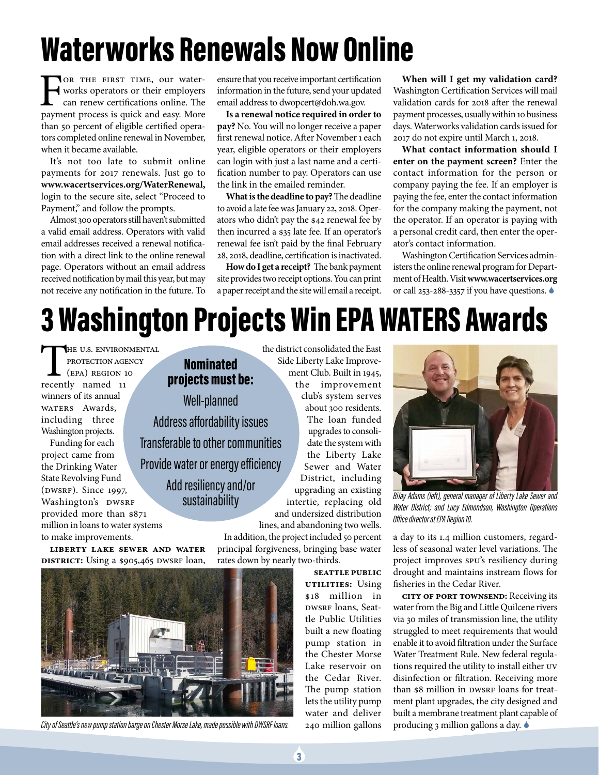#### Waterworks Renewals Now Online

FOR THE FIRST TIME, our water-<br>works operators or their employers<br>can renew certifications online. The<br>payment process is quick and easy. More works operators or their employers can renew certifications online. The payment process is quick and easy. More than 50 percent of eligible certified operators completed online renewal in November, when it became available.

It's not too late to submit online payments for 2017 renewals. Just go to **www.wacertservices.org/WaterRenewal,** login to the secure site, select "Proceed to Payment," and follow the prompts.

Almost 300 operators still haven't submitted a valid email address. Operators with valid email addresses received a renewal notification with a direct link to the online renewal page. Operators without an email address received notification by mail this year, but may not receive any notification in the future. To

ensure that you receive important certification information in the future, send your updated email address to dwopcert@doh.wa.gov.

**Is a renewal notice required in order to pay?** No. You will no longer receive a paper first renewal notice. After November 1 each year, eligible operators or their employers can login with just a last name and a certification number to pay. Operators can use the link in the emailed reminder.

**What is the deadline to pay?** The deadline to avoid a late fee was January 22, 2018. Operators who didn't pay the \$42 renewal fee by then incurred a \$35 late fee. If an operator's renewal fee isn't paid by the final February 28, 2018, deadline, certification is inactivated.

**How do I get a receipt?** The bank payment site provides two receipt options. You can print a paper receipt and the site will email a receipt.

**When will I get my validation card?** Washington Certification Services will mail validation cards for 2018 after the renewal payment processes, usually within 10 business days. Waterworks validation cards issued for 2017 do not expire until March 1, 2018.

**What contact information should I enter on the payment screen?** Enter the contact information for the person or company paying the fee. If an employer is paying the fee, enter the contact information for the company making the payment, not the operator. If an operator is paying with a personal credit card, then enter the operator's contact information.

Washington Certification Services administers the online renewal program for Department of Health. Visit **www.wacertservices.org** or call 253-288-3357 if you have questions.

## 3 Washington Projects Win EPAWATERS Awards

the district consolidated the East

ment Club. Built in 1945, the improvement club's system serves about 300 residents. The loan funded upgrades to consolidate the system with the Liberty Lake Sewer and Water District, including upgrading an existing

THE U.S. ENVIRONMENTAL PROTECTION AGENCY (EPA) Region 10 recently named 11 winners of its annual WATERS Awards, including three Washington projects. Funding for each project came from the Drinking Water State Revolving Fund (DWSRF). Since 1997, Washington's DWSRF provided more than \$871 million in loans to water systems to make improvements.

Side Liberty Lake Improve-Nominated projects must be: Well-planned Address affordability issues Transferable to other communities Provide water or energy efficiency Add resiliency and/or sustainability

intertie, replacing old and undersized distribution lines, and abandoning two wells.

In addition, the project included 50 percent principal forgiveness, bringing base water

rates down by nearly two-thirds.

**Seattle Public Utilities:** Using \$18 million in DWSRF loans, Seattle Public Utilities built a new floating pump station in the Chester Morse Lake reservoir on the Cedar River. The pump station lets the utility pump water and deliver 240 million gallons



*BiJay Adams (left), general manager of Liberty Lake Sewer and Water District; and Lucy Edmondson, Washington Operations Office director at EPA Region 10.* 

a day to its 1.4 million customers, regardless of seasonal water level variations. The project improves SPU's resiliency during drought and maintains instream flows for fisheries in the Cedar River.

**City of Port Townsend:** Receiving its water from the Big and Little Quilcene rivers via 30 miles of transmission line, the utility struggled to meet requirements that would enable it to avoid filtration under the Surface Water Treatment Rule. New federal regulations required the utility to install either UV disinfection or filtration. Receiving more than \$8 million in DWSRF loans for treatment plant upgrades, the city designed and built a membrane treatment plant capable of producing 3 million gallons a day.

**Liberty Lake Sewer and Water District:** Using a \$905,465 DWSRF loan,



*City of Seattle's new pump station barge on Chester Morse Lake, made possible with DWSRF loans.*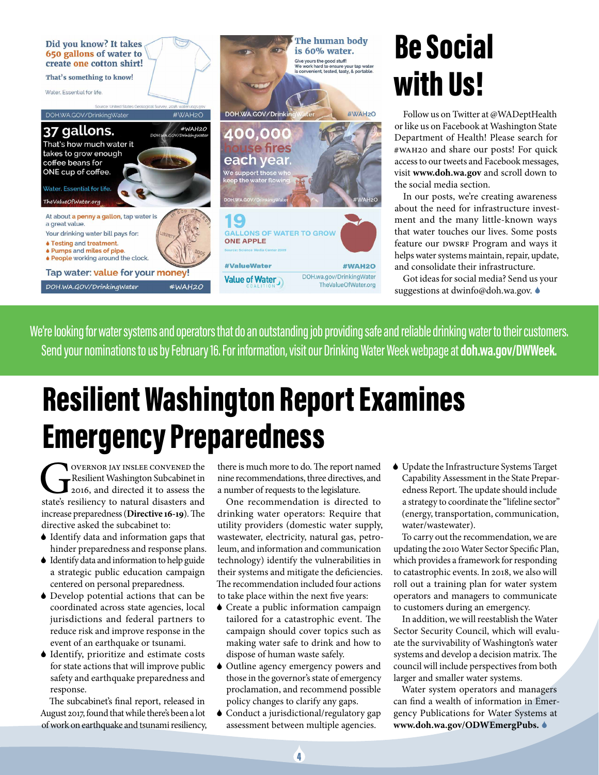

## Be Social with Us!

Follow us on Twitter at @WADeptHealth or like us on Facebook at Washington State Department of Health! Please search for #WAH20 and share our posts! For quick access to our tweets and Facebook messages, visit **www.doh.wa.gov** and scroll down to the social media section.

In our posts, we're creating awareness about the need for infrastructure investment and the many little-known ways that water touches our lives. Some posts feature our DWSRF Program and ways it helps water systems maintain, repair, update, and consolidate their infrastructure.

Got ideas for social media? Send us your suggestions at dwinfo@doh.wa.gov.  $\bullet$ 

We're looking for water systems and operators that do an outstanding job providing safe and reliable drinking water to their customers. Send your nominations to us by February 16. For information, visit our Drinking Water Week webpage at **doh.wa.gov/DWWeek.**

#### Resilient Washington Report Examines Emergency Preparedness

Governor Jay Inslee convened the Resilient Washington Subcabinet in 2016, and directed it to assess the state's resiliency to natural disasters and increase preparedness (**Directive 16-19**). The directive asked the subcabinet to:

- 6 Identify data and information gaps that hinder preparedness and response plans.
- 6 Identify data and information to help guide a strategic public education campaign centered on personal preparedness.
- 6 Develop potential actions that can be coordinated across state agencies, local jurisdictions and federal partners to reduce risk and improve response in the event of an earthquake or tsunami.
- 6 Identify, prioritize and estimate costs for state actions that will improve public safety and earthquake preparedness and response.

The subcabinet's final report, released in August 2017, found that while there's been a lot of work on earthquake and tsunami resiliency, there is much more to do. The report named nine recommendations, three directives, and a number of requests to the legislature.

One recommendation is directed to drinking water operators: Require that utility providers (domestic water supply, wastewater, electricity, natural gas, petroleum, and information and communication technology) identify the vulnerabilities in their systems and mitigate the deficiencies. The recommendation included four actions to take place within the next five years:

- 6 Create a public information campaign tailored for a catastrophic event. The campaign should cover topics such as making water safe to drink and how to dispose of human waste safely.
- 6 Outline agency emergency powers and those in the governor's state of emergency proclamation, and recommend possible policy changes to clarify any gaps.
- 6 Conduct a jurisdictional/regulatory gap assessment between multiple agencies.

6 Update the Infrastructure Systems Target Capability Assessment in the State Preparedness Report. The update should include a strategy to coordinate the "lifeline sector" (energy, transportation, communication, water/wastewater).

To carry out the recommendation, we are updating the 2010 Water Sector Specific Plan, which provides a framework for responding to catastrophic events. In 2018, we also will roll out a training plan for water system operators and managers to communicate to customers during an emergency.

In addition, we will reestablish the Water Sector Security Council, which will evaluate the survivability of Washington's water systems and develop a decision matrix. The council will include perspectives from both larger and smaller water systems.

Water system operators and managers can find a wealth of information in Emergency Publications for Water Systems at **www.doh.wa.gov/ODWEmergPubs.**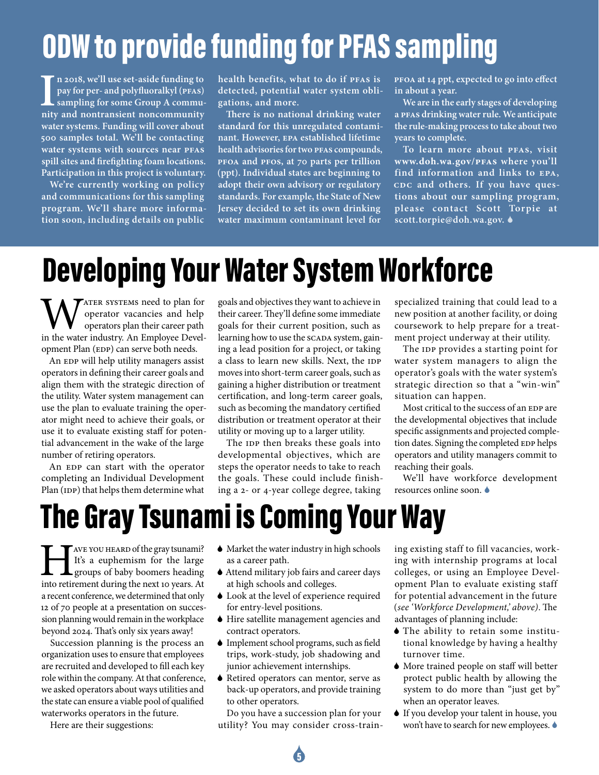## ODW to provide funding for PFAS sampling

Ill use set-aside funding to<br>
pay for per- and polyfluoralkyl (PFAS)<br>
sampling for some Group A community<br>
and nontransient noncommunity **n 2018, we'll use set-aside funding to pay for per- and polyfluoralkyl (PFAS) sampling for some Group A commuwater systems. Funding will cover about 500 samples total. We'll be contacting water systems with sources near PFAS spill sites and firefighting foam locations. Participation in this project is voluntary.**

**We're currently working on policy and communications for this sampling program. We'll share more information soon, including details on public** 

**health benefits, what to do if PFAS is detected, potential water system obligations, and more.**

**There is no national drinking water standard for this unregulated contaminant. However, EPA established lifetime health advisories for two PFAS compounds, PFOA and PFOS, at 70 parts per trillion (ppt). Individual states are beginning to adopt their own advisory or regulatory standards. For example, the State of New Jersey decided to set its own drinking water maximum contaminant level for** 

**PFOA at 14 ppt, expected to go into effect in about a year.**

**We are in the early stages of developing a PFAS drinking water rule. We anticipate the rule-making process to take about two years to complete.**

**To learn more about PFAS, visit www.doh.wa.gov/PFAS where you'll find information and links to EPA, CDC and others. If you have questions about our sampling program, please contact Scott Torpie at scott.torpie@doh.wa.gov.**

#### Developing Your Water System Workforce

TATER SYSTEMS need to plan for operator vacancies and help operators plan their career path in the water industry. An Employee Development Plan (EDP) can serve both needs.

An EDP will help utility managers assist operators in defining their career goals and align them with the strategic direction of the utility. Water system management can use the plan to evaluate training the operator might need to achieve their goals, or use it to evaluate existing staff for potential advancement in the wake of the large number of retiring operators.

An EDP can start with the operator completing an Individual Development Plan (IDP) that helps them determine what goals and objectives they want to achieve in their career. They'll define some immediate goals for their current position, such as learning how to use the SCADA system, gaining a lead position for a project, or taking a class to learn new skills. Next, the IDP moves into short-term career goals, such as gaining a higher distribution or treatment certification, and long-term career goals, such as becoming the mandatory certified distribution or treatment operator at their utility or moving up to a larger utility.

The IDP then breaks these goals into developmental objectives, which are steps the operator needs to take to reach the goals. These could include finishing a 2- or 4-year college degree, taking specialized training that could lead to a new position at another facility, or doing coursework to help prepare for a treatment project underway at their utility.

The IDP provides a starting point for water system managers to align the operator's goals with the water system's strategic direction so that a "win-win" situation can happen.

Most critical to the success of an EDP are the developmental objectives that include specific assignments and projected completion dates. Signing the completed EDP helps operators and utility managers commit to reaching their goals.

We'll have workforce development resources online soon.

#### The Gray Tsunami is Coming Your Way

THE TAVE YOU HEARD of the gray tsunami?<br>It's a euphemism for the large<br>groups of baby boomers heading<br>into retirement during the next 10 years. At It's a euphemism for the large groups of baby boomers heading into retirement during the next 10 years. At a recent conference, we determined that only 12 of 70 people at a presentation on succession planning would remain in the workplace beyond 2024. That's only six years away!

Succession planning is the process an organization uses to ensure that employees are recruited and developed to fill each key role within the company. At that conference, we asked operators about ways utilities and the state can ensure a viable pool of qualified waterworks operators in the future.

Here are their suggestions:

- 6 Market the water industry in high schools as a career path.
- 6 Attend military job fairs and career days at high schools and colleges.
- 6 Look at the level of experience required for entry-level positions.
- 6 Hire satellite management agencies and contract operators.
- 6 Implement school programs, such as field trips, work-study, job shadowing and junior achievement internships.
- 6 Retired operators can mentor, serve as back-up operators, and provide training to other operators.

Do you have a succession plan for your utility? You may consider cross-train-

6

ing existing staff to fill vacancies, working with internship programs at local colleges, or using an Employee Development Plan to evaluate existing staff for potential advancement in the future (*see 'Workforce Development,' above)*. The advantages of planning include:

- 6 The ability to retain some institutional knowledge by having a healthy turnover time.
- 6 More trained people on staff will better protect public health by allowing the system to do more than "just get by" when an operator leaves.
- 6 If you develop your talent in house, you won't have to search for new employees.  $\bullet$